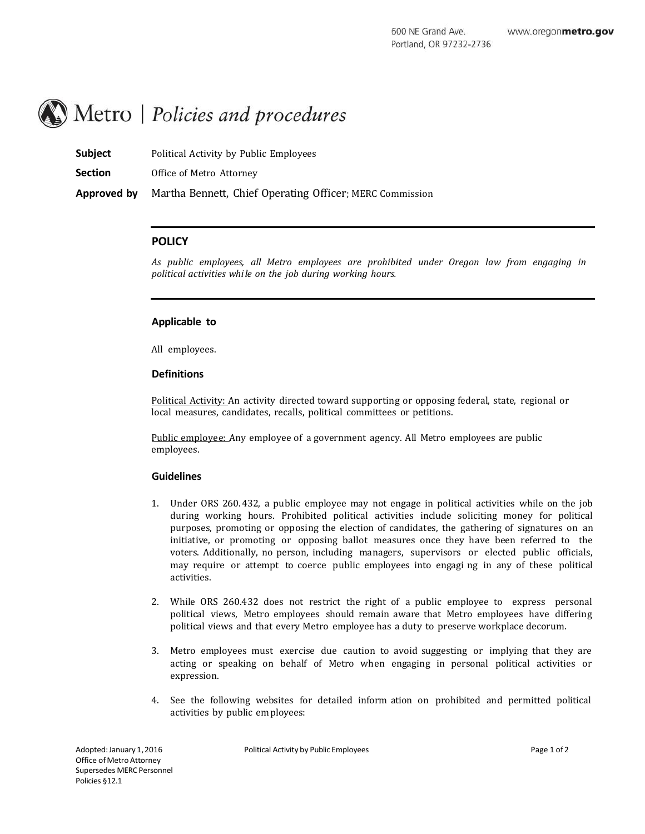# Metro | Policies and procedures

**Subject** Political Activity by Public Employees

**Section** Office of Metro Attorney

**Approved by** Martha Bennett, Chief Operating Officer; MERC Commission

# **POLICY**

*As public employees, all Metro employees are prohibited under Oregon law from engaging in political activities while on the job during working hours.*

## **Applicable to**

All employees.

## **Definitions**

Political Activity: An activity directed toward supporting or opposing federal, state, regional or local measures, candidates, recalls, political committees or petitions.

Public employee: Any employee of a government agency. All Metro employees are public employees.

## **Guidelines**

- 1. Under ORS 260. 432, a public employee may not engage in political activities while on the job during working hours. Prohibited political activities include soliciting money for political purposes, promoting or opposing the election of candidates, the gathering of signatures on an initiative, or promoting or opposing ballot measures once they have been referred to the voters. Additionally, no person, including managers, supervisors or elected public officials, may require or attempt to coerce public employees into engagi ng in any of these political activities.
- 2. While ORS 260.432 does not restrict the right of a public employee to express personal political views, Metro employees should remain aware that Metro employees have differing political views and that every Metro employee has a duty to preserve workplace decorum.
- 3. Metro employees must exercise due caution to avoid suggesting or implying that they are acting or speaking on behalf of Metro when engaging in personal political activities or expression.
- 4. See the following websites for detailed inform ation on prohibited and permitted political activities by public employees: